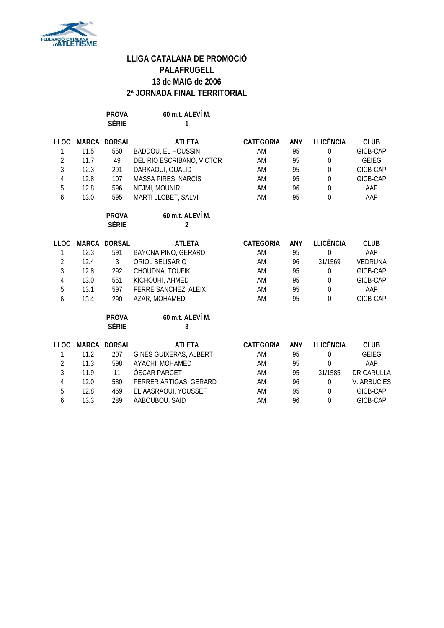

**PROVA 60 m.t. ALEVÍ M. SÈRIE 1**

| <b>LLOC</b>      |              | MARCA DORSAL                 | <b>ATLETA</b>                      | CATEGORIA        | ANY | <b>LLICÈNCIA</b> | <b>CLUB</b>        |
|------------------|--------------|------------------------------|------------------------------------|------------------|-----|------------------|--------------------|
| 1                | 11.5         | 550                          | BADDOU, EL HOUSSIN                 | AM               | 95  | $\mathbf 0$      | GICB-CAP           |
| $\sqrt{2}$       | 11.7         | 49                           | DEL RIO ESCRIBANO, VICTOR          | AM               | 95  | 0                | <b>GEIEG</b>       |
| 3                | 12.3         | 291                          | DARKAOUI, OUALID                   | AM               | 95  | $\mathbf 0$      | GICB-CAP           |
| $\sqrt{4}$       | 12.8         | 107                          | MASSA PIRES, NARCÍS                | AM               | 95  | $\mathbf 0$      | GICB-CAP           |
| $\overline{5}$   | 12.8         | 596                          | NEJMI, MOUNIR                      | AM               | 96  | $\mathbf 0$      | AAP                |
| 6                | 13.0         | 595                          | MARTI LLOBET, SALVI                | AM               | 95  | $\Omega$         | AAP                |
|                  |              | <b>PROVA</b><br><b>SÈRIE</b> | 60 m.t. ALEVÍ M.<br>$\mathfrak{p}$ |                  |     |                  |                    |
| <b>LLOC</b>      | <b>MARCA</b> | <b>DORSAL</b>                | <b>ATLETA</b>                      | <b>CATEGORIA</b> | ANY | <b>LLICÈNCIA</b> | <b>CLUB</b>        |
| 1                | 12.3         | 591                          | BAYONA PINO, GERARD                | AM               | 95  | $\overline{0}$   | AAP                |
| $\overline{2}$   | 12.4         | $\mathfrak{Z}$               | ORIOL BELISARIO                    | AM               | 96  | 31/1569          | <b>VEDRUNA</b>     |
| 3                | 12.8         | 292                          | CHOUDNA, TOUFIK                    | AM               | 95  | $\boldsymbol{0}$ | GICB-CAP           |
| $\overline{4}$   | 13.0         | 551                          | KICHOUHI, AHMED                    | AM               | 95  | $\theta$         | GICB-CAP           |
| 5                | 13.1         | 597                          | FERRE SANCHEZ, ALEIX               | AM               | 95  | $\mathbf 0$      | AAP                |
| $\boldsymbol{6}$ | 13.4         | 290                          | AZAR, MOHAMED                      | AM               | 95  | $\overline{0}$   | GICB-CAP           |
|                  |              | <b>PROVA</b><br><b>SÈRIE</b> | 60 m.t. ALEVÍ M.<br>3              |                  |     |                  |                    |
| <b>LLOC</b>      | <b>MARCA</b> | <b>DORSAL</b>                | <b>ATLETA</b>                      | <b>CATEGORIA</b> | ANY | <b>LLICÈNCIA</b> | <b>CLUB</b>        |
| 1                | 11.2         | 207                          | GINÉS GUIXERAS, ALBERT             | AM               | 95  | $\mathbf 0$      | <b>GEIEG</b>       |
| $\overline{2}$   | 11.3         | 598                          | AYACHI, MOHAMED                    | AM               | 95  | $\theta$         | AAP                |
| 3                | 11.9         | 11                           | <b>OSCAR PARCET</b>                | AM               | 95  | 31/1585          | DR CARULLA         |
| $\overline{4}$   | 12.0         | 580                          | FERRER ARTIGAS, GERARD             | AM               | 96  | $\boldsymbol{0}$ | <b>V. ARBUCIES</b> |
| 5                | 12.8         | 469                          | EL AASRAOUI, YOUSSEF               | AM               | 95  | $\Omega$         | GICB-CAP           |
| 6                | 13.3         | 289                          | AABOUBOU, SAID                     | AM               | 96  | 0                | GICB-CAP           |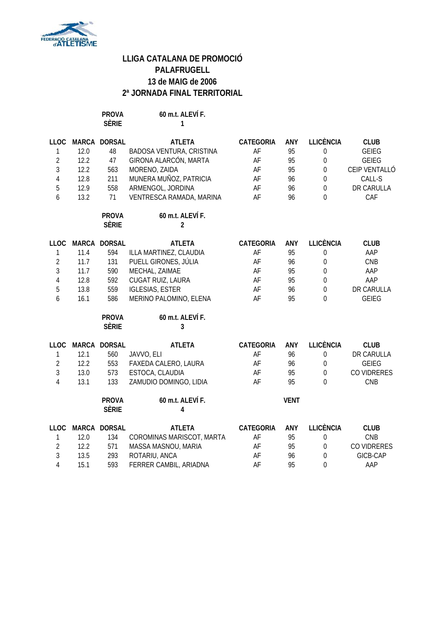

**PROVA 60 m.t. ALEVÍ F. SÈRIE 1**

| <b>LLOC</b>    |      | MARCA DORSAL | <b>ATLETA</b>             | CATEGORIA        | ANY         | <b>LLICÈNCIA</b> | <b>CLUB</b>   |
|----------------|------|--------------|---------------------------|------------------|-------------|------------------|---------------|
| $\mathbf{1}$   | 12.0 | 48           | BADOSA VENTURA, CRISTINA  | AF               | 95          | $\boldsymbol{0}$ | <b>GEIEG</b>  |
| $\overline{2}$ | 12.2 | 47           | GIRONA ALARCÓN, MARTA     | AF               | 95          | $\mathbf 0$      | <b>GEIEG</b>  |
| $\mathfrak{Z}$ | 12.2 | 563          | MORENO, ZAIDA             | AF               | 95          | $\boldsymbol{0}$ | CEIP VENTALLÓ |
| $\sqrt{4}$     | 12.8 | 211          | MUNERA MUÑOZ, PATRICIA    | AF               | 96          | $\mathbf 0$      | CALL-S        |
| 5              | 12.9 | 558          | ARMENGOL, JORDINA         | AF               | 96          | $\mathbf 0$      | DR CARULLA    |
| 6              | 13.2 | 71           | VENTRESCA RAMADA, MARINA  | AF               | 96          | $\overline{0}$   | CAF           |
|                |      | <b>PROVA</b> | 60 m.t. ALEVÍ F.          |                  |             |                  |               |
|                |      | <b>SÈRIE</b> | $\overline{2}$            |                  |             |                  |               |
| <b>LLOC</b>    |      | MARCA DORSAL | <b>ATLETA</b>             | <b>CATEGORIA</b> | <b>ANY</b>  | <b>LLICÈNCIA</b> | <b>CLUB</b>   |
| 1              | 11.4 | 594          | ILLA MARTINEZ, CLAUDIA    | AF               | 95          | $\boldsymbol{0}$ | AAP           |
| $\overline{2}$ | 11.7 | 131          | PUELL GIRONES, JÚLIA      | AF               | 96          | $\boldsymbol{0}$ | CNB           |
| $\overline{3}$ | 11.7 | 590          | MECHAL, ZAIMAE            | AF               | 95          | $\mathbf 0$      | AAP           |
| $\sqrt{4}$     | 12.8 | 592          | CUGAT RUIZ, LAURA         | AF               | 95          | $\mathbf 0$      | AAP           |
| 5              | 13.8 | 559          | <b>IGLESIAS, ESTER</b>    | AF               | 96          | $\mathbf 0$      | DR CARULLA    |
| 6              | 16.1 | 586          | MERINO PALOMINO, ELENA    | AF               | 95          | $\overline{0}$   | <b>GEIEG</b>  |
|                |      | <b>PROVA</b> | 60 m.t. ALEVÍ F.          |                  |             |                  |               |
|                |      | <b>SÈRIE</b> | 3                         |                  |             |                  |               |
| <b>LLOC</b>    |      | MARCA DORSAL | <b>ATLETA</b>             | <b>CATEGORIA</b> | ANY         | <b>LLICÈNCIA</b> | <b>CLUB</b>   |
| 1              | 12.1 | 560          | JAVVO, ELI                | AF               | 96          | $\boldsymbol{0}$ | DR CARULLA    |
| $\overline{2}$ | 12.2 | 553          | FAXEDA CALERO, LAURA      | AF               | 96          | $\boldsymbol{0}$ | <b>GEIEG</b>  |
| $\overline{3}$ | 13.0 | 573          | ESTOCA, CLAUDIA           | AF               | 95          | $\mathbf 0$      | CO VIDRERES   |
| $\overline{4}$ | 13.1 | 133          | ZAMUDIO DOMINGO, LIDIA    | AF               | 95          | $\overline{0}$   | CNB           |
|                |      | <b>PROVA</b> | 60 m.t. ALEVÍ F.          |                  | <b>VENT</b> |                  |               |
|                |      | <b>SÈRIE</b> | 4                         |                  |             |                  |               |
| <b>LLOC</b>    |      | MARCA DORSAL | <b>ATLETA</b>             | <b>CATEGORIA</b> | <b>ANY</b>  | <b>LLICÈNCIA</b> | <b>CLUB</b>   |
| 1              | 12.0 | 134          | COROMINAS MARISCOT, MARTA | AF               | 95          | $\mathbf 0$      | CNB           |
| $\overline{2}$ | 12.2 | 571          | MASSA MASNOU, MARIA       | AF               | 95          | $\mathbf 0$      | CO VIDRERES   |
| $\overline{3}$ | 13.5 | 293          | ROTARIU, ANCA             | AF               | 96          | $\boldsymbol{0}$ | GICB-CAP      |
| $\overline{4}$ | 15.1 | 593          | FERRER CAMBIL, ARIADNA    | AF               | 95          | $\mathbf 0$      | AAP           |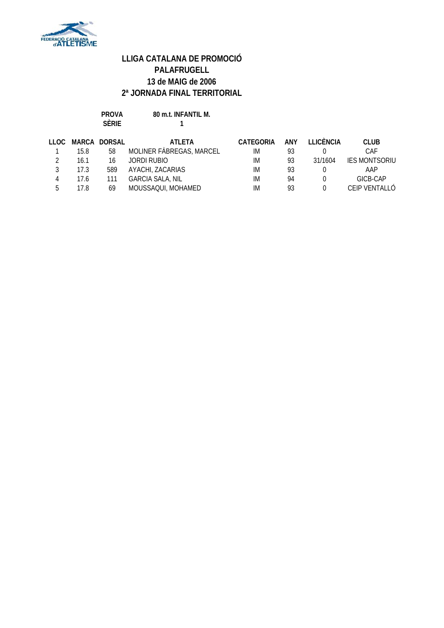

**PROVA 80 m.t. INFANTIL M. SÈRIE 1**

| TTOC. |      | <b>MARCA DORSAL</b> | ATI FTA                  | <b>CATEGORIA</b> | ANY | <b>TEICÈNCIA</b> | <b>CLUB</b>          |
|-------|------|---------------------|--------------------------|------------------|-----|------------------|----------------------|
|       | 15.8 | 58                  | MOLINER FABREGAS, MARCEL | IM               | 93  |                  | CAF                  |
|       | 16.1 | 16                  | JORDI RUBIO              | IM               | 93  | 31/1604          | <b>IES MONTSORIU</b> |
|       | 17.3 | 589                 | AYACHI, ZACARIAS         | IM               | 93  |                  | AAP                  |
|       | 17.6 | 111                 | <b>GARCIA SALA, NIL</b>  | IM               | 94  |                  | GICB-CAP             |
| г.    | 17.8 | 69                  | MOUSSAQUI, MOHAMED       | IM               | 93  |                  | CEIP VENTALLÓ        |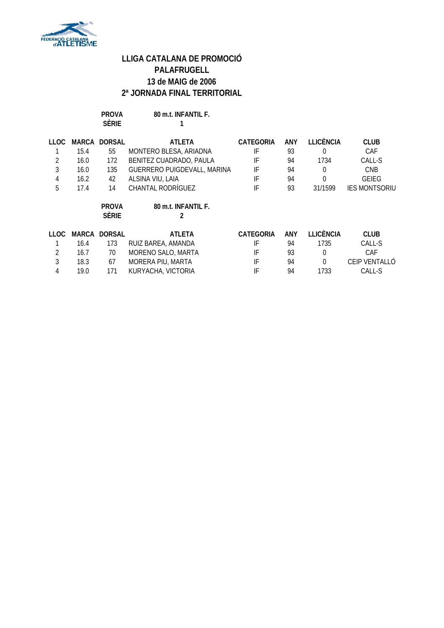

**PROVA 80 m.t. INFANTIL F. SÈRIE 1**

| 11 OC. |      | MARCA DORSAL | <b>ATLETA</b>               | CATEGORIA | ANY | I LICÈNCIA | <b>CLUB</b>          |
|--------|------|--------------|-----------------------------|-----------|-----|------------|----------------------|
|        | 15.4 | 55           | MONTERO BLESA, ARIADNA      | IF        | 93  |            | CAF                  |
|        | 16.0 | 172          | BENITEZ CUADRADO, PAULA     | IF        | 94  | 1734       | CALL-S               |
|        | 16.0 | 135          | GUERRERO PUIGDEVALL, MARINA | IF        | 94  | $\Omega$   | <b>CNB</b>           |
| 4      | 16.2 | 42           | ALSINA VIU, LAIA            | IF        | 94  | 0          | GEIFG                |
| 5      | 17.4 | 14           | <b>CHANTAL RODRÍGUEZ</b>    | IF        | 93  | 31/1599    | <b>IES MONTSORIU</b> |
|        |      | <b>PROVA</b> | 80 m.t. INFANTIL F.         |           |     |            |                      |

**SÈRIE 2**

| TT OC. |      | <b>MARCA DORSAL</b> | ATI FTA            | CATEGORIA | ANY | <b>TEICÈNCIA</b> | <b>CLUB</b>   |
|--------|------|---------------------|--------------------|-----------|-----|------------------|---------------|
|        | 16.4 | 173                 | RUIZ BAREA, AMANDA |           | 94  | 1735             | CALL-S        |
|        | 16.7 | 70                  | MORENO SALO, MARTA | IF        | 93  |                  | CAF           |
|        | 18.3 | 67                  | MORERA PIU, MARTA  | IF        | 94  |                  | CEIP VENTALLÓ |
| 4      | 19.0 | 171                 | KURYACHA, VICTORIA |           | 94  | 1733             | CALL-S        |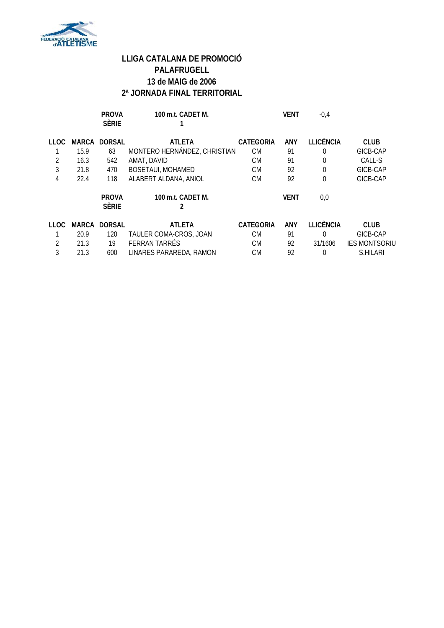

|      |       | <b>PROVA</b><br><b>SÈRIE</b> | 100 m.t. CADET M.            |                  | <b>VENT</b> | $-0,4$           |                      |
|------|-------|------------------------------|------------------------------|------------------|-------------|------------------|----------------------|
| LLOC | MARCA | <b>DORSAL</b>                | <b>ATLETA</b>                | <b>CATEGORIA</b> | <b>ANY</b>  | <b>LLICÈNCIA</b> | <b>CLUB</b>          |
|      | 15.9  | 63                           | MONTERO HERNÁNDEZ, CHRISTIAN | CM               | 91          | 0                | GICB-CAP             |
|      | 16.3  | 542                          | AMAT, DAVID                  | <b>CM</b>        | 91          | 0                | CALL-S               |
| 3    | 21.8  | 470                          | <b>BOSETAUI, MOHAMED</b>     | <b>CM</b>        | 92          | $\theta$         | GICB-CAP             |
| 4    | 22.4  | 118                          | ALABERT ALDANA, ANIOL        | <b>CM</b>        | 92          | $\Omega$         | GICB-CAP             |
|      |       | <b>PROVA</b><br><b>SÈRIE</b> | 100 m.t. CADET M.<br>2       |                  | <b>VENT</b> | 0,0              |                      |
| LLOC | MARCA | <b>DORSAL</b>                | <b>ATLETA</b>                | <b>CATEGORIA</b> | <b>ANY</b>  | <b>LLICÈNCIA</b> | <b>CLUB</b>          |
|      | 20.9  | 120                          | TAULER COMA-CROS, JOAN       | <b>CM</b>        | 91          | 0                | GICB-CAP             |
| 2    | 21.3  | 19                           | <b>FERRAN TARRÉS</b>         | <b>CM</b>        | 92          | 31/1606          | <b>IES MONTSORIU</b> |
| 3    | 21.3  | 600                          | LINARES PARAREDA, RAMON      | <b>CM</b>        | 92          |                  | S.HILARI             |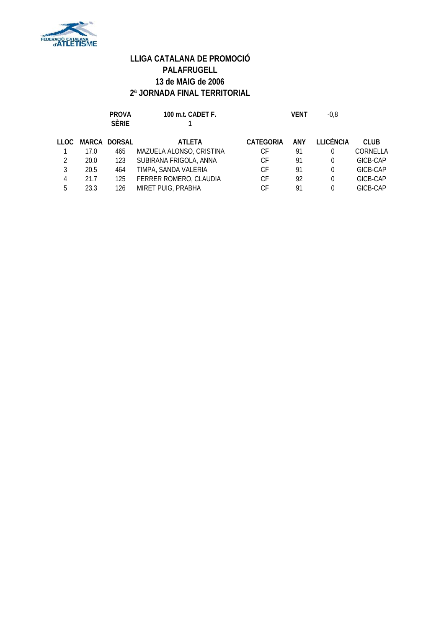

|               |      | <b>PROVA</b><br><b>SÈRIE</b> | 100 m.t. CADET F.        |                  | VENT | $-0.8$    |             |
|---------------|------|------------------------------|--------------------------|------------------|------|-----------|-------------|
| LLOC          |      | MARCA DORSAL                 | <b>ATLETA</b>            | <b>CATEGORIA</b> | ANY  | LLICÈNCIA | <b>CLUB</b> |
|               | 17.0 | 465                          | MAZUELA ALONSO, CRISTINA | СF               | 91   | $\Omega$  | CORNELLA    |
| $\mathcal{P}$ | 20.0 | 123                          | SUBIRANA FRIGOLA, ANNA   | СF               | 91   | 0         | GICB-CAP    |
| 3             | 20.5 | 464                          | TIMPA, SANDA VALERIA     | СF               | 91   | 0         | GICB-CAP    |
| 4             | 21.7 | 125                          | FERRER ROMERO, CLAUDIA   | СF               | 92   | 0         | GICB-CAP    |
| 5             | 23.3 | 126                          | MIRET PUIG, PRABHA       | СF               | 91   | 0         | GICB-CAP    |
|               |      |                              |                          |                  |      |           |             |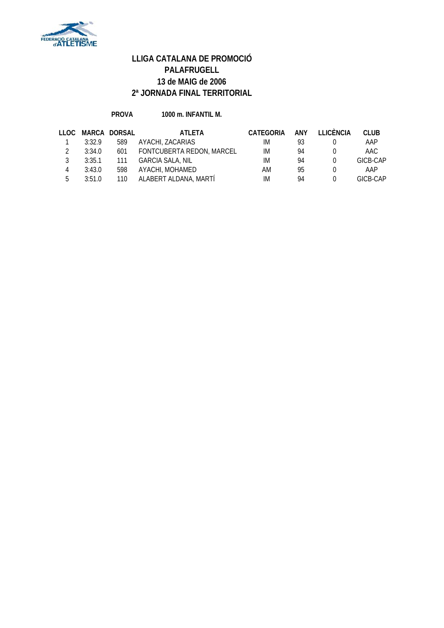

#### **PROVA 1000 m. INFANTIL M.**

|    |        | LLOC MARCA DORSAL | ATLETA                    | CATEGORIA | <b>ANY</b> | LLICÈNCIA | CLUB     |
|----|--------|-------------------|---------------------------|-----------|------------|-----------|----------|
|    | 3:32.9 | 589               | AYACHI, ZACARIAS          | IM.       | 93         |           | AAP      |
|    | 3:34.0 | 601               | FONTCUBERTA REDON, MARCEL | IM        | 94         |           | AAC.     |
| २  | 3:35.1 | 111               | GARCIA SALA, NIL          | IM        | 94         |           | GICB-CAP |
|    | 3:43.0 | 598               | AYACHI, MOHAMED           | AM        | 95         |           | AAP      |
| 5. | 3:51.0 | 110               | ALABERT ALDANA, MARTÍ     | IM        | 94         |           | GICB-CAP |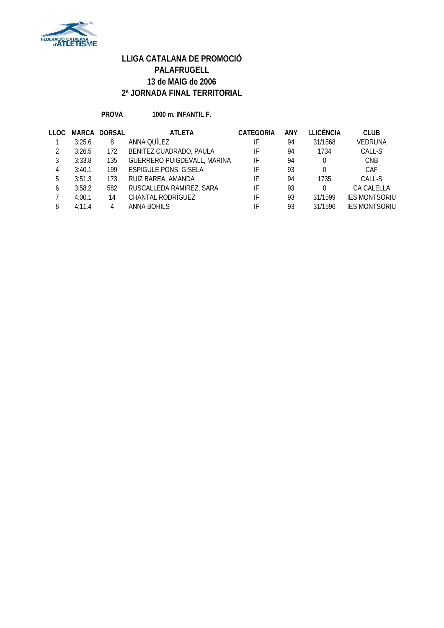

**PROVA 1000 m. INFANTIL F.**

| 11 OC. |        | <b>MARCA DORSAL</b> | <b>ATLETA</b>                | <b>CATEGORIA</b> | <b>ANY</b> | <b>LLICÈNCIA</b> | <b>CLUB</b>          |
|--------|--------|---------------------|------------------------------|------------------|------------|------------------|----------------------|
|        | 3:25.6 | 8                   | ANNA QUÍLEZ                  | IF               | 94         | 31/1568          | <b>VEDRUNA</b>       |
|        | 3:26.5 | 172                 | BENITEZ CUADRADO, PAULA      | IF               | 94         | 1734             | CALL-S               |
| 3      | 3:33.8 | 135                 | GUERRERO PUIGDEVALL, MARINA  | IF               | 94         | 0                | <b>CNB</b>           |
| 4      | 3:40.1 | 199                 | <b>ESPIGULE PONS, GISELA</b> | IF               | 93         | 0                | CAF                  |
| 5      | 3:51.3 | 173                 | RUIZ BAREA, AMANDA           | IF               | 94         | 1735             | CALL-S               |
| 6      | 3:58.2 | 582                 | RUSCALLEDA RAMIREZ, SARA     | IF               | 93         | 0                | CA CALELLA           |
|        | 4:00.1 | 14                  | CHANTAL RODRÍGUEZ            | IF               | 93         | 31/1599          | <b>IES MONTSORIU</b> |
| 8      | 4:11.4 |                     | ANNA BOHILS                  | IF               | 93         | 31/1596          | <b>IES MONTSORIU</b> |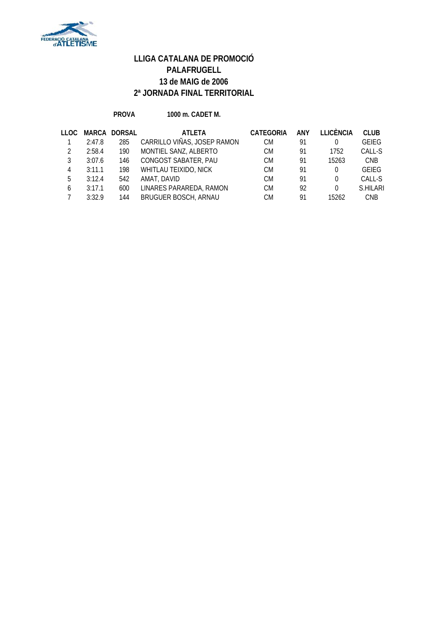

**PROVA 1000 m. CADET M.**

| TT OC. |        | <b>MARCA DORSAL</b> | <b>ATLETA</b>               | <b>CATEGORIA</b> | ANY | <b>LLICÈNCIA</b> | <b>CLUB</b>  |
|--------|--------|---------------------|-----------------------------|------------------|-----|------------------|--------------|
|        | 2:47.8 | 285                 | CARRILLO VIÑAS, JOSEP RAMON | СM               | 91  | 0                | <b>GEIEG</b> |
|        | 2:58.4 | 190                 | MONTIEL SANZ, ALBERTO       | CM.              | 91  | 1752             | CALL-S       |
|        | 3:07.6 | 146                 | CONGOST SABATER, PAU        | СM               | 91  | 15263            | <b>CNB</b>   |
| 4      | 3:11.1 | 198                 | WHITLAU TEIXIDO, NICK       | СM               | 91  | $\Omega$         | <b>GEIEG</b> |
| 5      | 3:12.4 | 542                 | AMAT, DAVID                 | СM               | 91  | 0                | CALL-S       |
| 6      | 3:17.1 | 600                 | LINARES PARAREDA, RAMON     | <b>CM</b>        | 92  | $\Omega$         | S.HILARI     |
|        | 3:32.9 | 144                 | BRUGUER BOSCH, ARNAU        | СM               | 91  | 15262            | <b>CNB</b>   |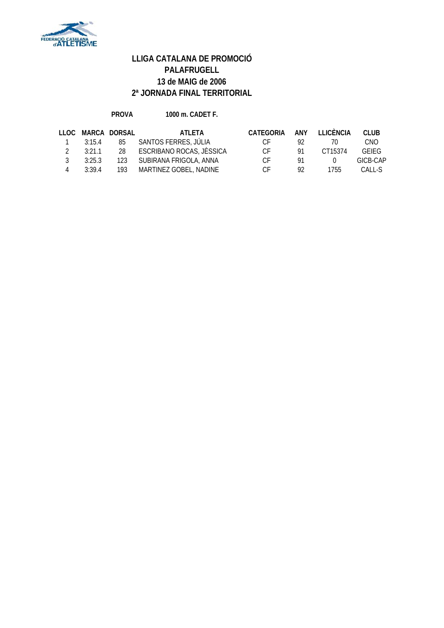

#### **PROVA 1000 m. CADET F.**

|               |        | LLOC MARCA DORSAL | ATI FTA                     | CATEGORIA | ANY | LI ICÈNCIA   | CLUB         |
|---------------|--------|-------------------|-----------------------------|-----------|-----|--------------|--------------|
|               | 3:15.4 | 85                | SANTOS FERRES, JÚLIA        | CE.       | Q2. | $\prime$ ()  | CNO          |
| $\mathcal{L}$ | 3:21.1 |                   | 28 ESCRIBANO ROCAS, JÈSSICA | CE.       | 91  | CT15374      | <b>GEIFG</b> |
| २             | 3:25.3 |                   | 123 SUBIRANA FRIGOLA, ANNA  | C.F       | 91  | $\mathbf{U}$ | GICB-CAP     |
|               | 3.394  |                   | 193 MARTINEZ GOBEL, NADINE  | CE.       | 92  | 1755         | CALL-S       |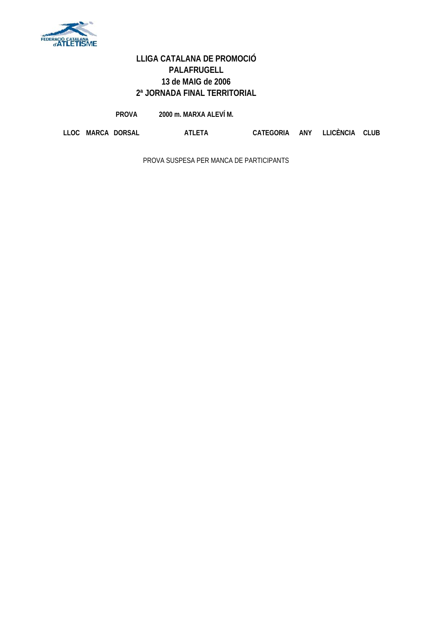

**PROVA 2000 m. MARXA ALEVÍ M.**

**LLOC MARCA DORSAL ATLETA CATEGORIA ANY LLICÈNCIA CLUB**

PROVA SUSPESA PER MANCA DE PARTICIPANTS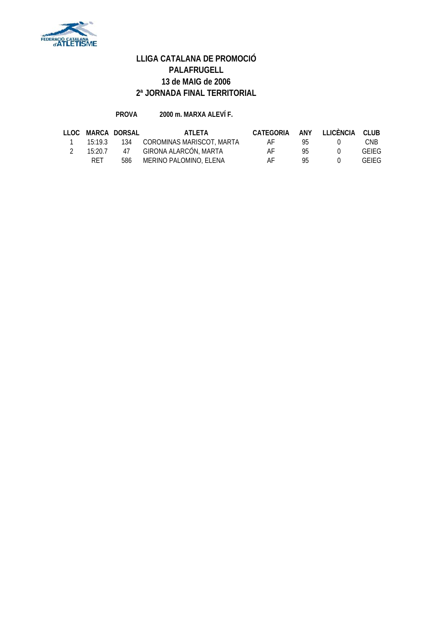

#### **PROVA 2000 m. MARXA ALEVÍ F.**

|         | LLOC MARCA DORSAL | ATI FTA                               | CATEGORIA ANY LLICÈNCIA CLUB |      |              |              |
|---------|-------------------|---------------------------------------|------------------------------|------|--------------|--------------|
|         |                   | 15:19.3 134 COROMINAS MARISCOT, MARTA | AF                           | 95 L | $\mathbf{U}$ | CNB          |
| 15:20.7 |                   | 47 GIRONA ALARCÓN, MARTA              | AF                           | 95.  | $^{\circ}$   | <b>GEIFG</b> |
| RET     | 586               | MERINO PALOMINO, ELENA                | AF                           | 95.  | $^{\circ}$   | <b>GEIFG</b> |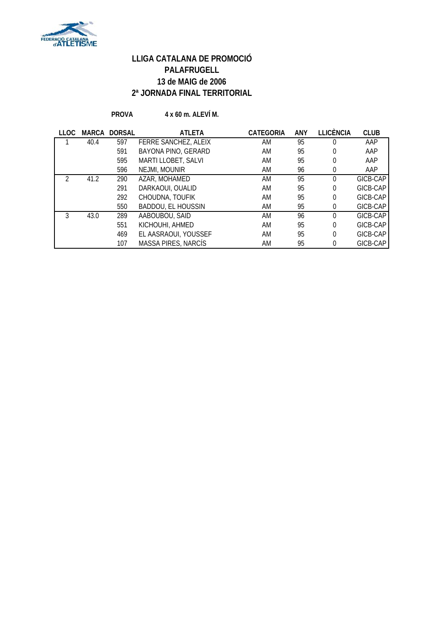

**PROVA 4 x 60 m. ALEVÍ M.**

| LLOC | MARCA | <b>DORSAL</b> | <b>ATLETA</b>             | <b>CATEGORIA</b> | <b>ANY</b> | <b>LLICÈNCIA</b> | <b>CLUB</b> |
|------|-------|---------------|---------------------------|------------------|------------|------------------|-------------|
|      | 40.4  | 597           | FERRE SANCHEZ, ALEIX      | AM               | 95         | 0                | AAP         |
|      |       | 591           | BAYONA PINO, GERARD       | AM               | 95         | 0                | AAP         |
|      |       | 595           | MARTI LLOBET, SALVI       | AM               | 95         | 0                | AAP         |
|      |       | 596           | NEJMI, MOUNIR             | AM               | 96         | 0                | AAP         |
|      | 41.2  | 290           | AZAR, MOHAMED             | AM               | 95         | $\Omega$         | GICB-CAP    |
|      |       | 291           | DARKAOUI, OUALID          | AM               | 95         | $\theta$         | GICB-CAP    |
|      |       | 292           | CHOUDNA, TOUFIK           | AM               | 95         | $\theta$         | GICB-CAP    |
|      |       | 550           | <b>BADDOU, EL HOUSSIN</b> | AM               | 95         | 0                | GICB-CAP    |
| 3    | 43.0  | 289           | AABOUBOU, SAID            | AM               | 96         | $\Omega$         | GICB-CAP    |
|      |       | 551           | KICHOUHI, AHMED           | AM               | 95         | $\theta$         | GICB-CAP    |
|      |       | 469           | EL AASRAOUI, YOUSSEF      | AM               | 95         | $\theta$         | GICB-CAP    |
|      |       | 107           | MASSA PIRES, NARCÍS       | AM               | 95         | 0                | GICB-CAP    |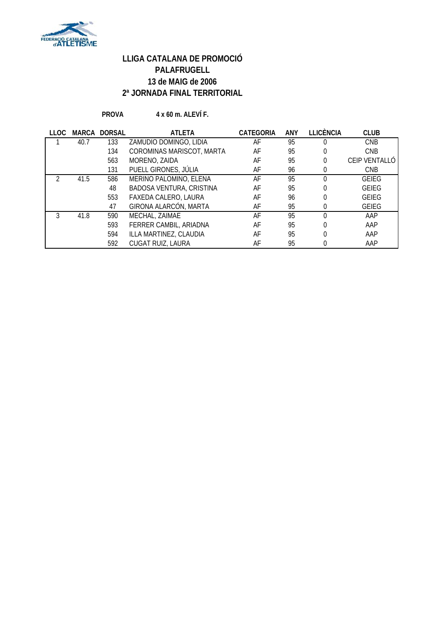

**PROVA 4 x 60 m. ALEVÍ F.**

| <b>LLOC</b> | <b>MARCA</b> | <b>DORSAL</b> | <b>ATLETA</b>                   | <b>CATEGORIA</b> | <b>ANY</b> | <b>LLICÈNCIA</b> | <b>CLUB</b>   |
|-------------|--------------|---------------|---------------------------------|------------------|------------|------------------|---------------|
|             | 40.7         | 133           | ZAMUDIO DOMINGO, LIDIA          | AF               | 95         |                  | <b>CNB</b>    |
|             |              | 134           | COROMINAS MARISCOT, MARTA       | AF               | 95         | 0                | <b>CNB</b>    |
|             |              | 563           | MORENO, ZAIDA                   | AF               | 95         | 0                | CEIP VENTALLÓ |
|             |              | 131           | PUELL GIRONES, JÚLIA            | AF               | 96         | 0                | <b>CNB</b>    |
|             | 41.5         | 586           | MERINO PALOMINO, ELENA          | AF               | 95         |                  | <b>GEIEG</b>  |
|             |              | 48            | <b>BADOSA VENTURA, CRISTINA</b> | AF               | 95         |                  | <b>GEIEG</b>  |
|             |              | 553           | FAXEDA CALERO, LAURA            | AF               | 96         |                  | <b>GEIEG</b>  |
|             |              | 47            | GIRONA ALARCÓN, MARTA           | AF               | 95         |                  | <b>GEIEG</b>  |
|             | 41.8         | 590           | MECHAL, ZAIMAE                  | AF               | 95         |                  | AAP           |
|             |              | 593           | FERRER CAMBIL, ARIADNA          | AF               | 95         |                  | AAP           |
|             |              | 594           | ILLA MARTINEZ, CLAUDIA          | AF               | 95         |                  | AAP           |
|             |              | 592           | CUGAT RUIZ, LAURA               | AF               | 95         |                  | AAP           |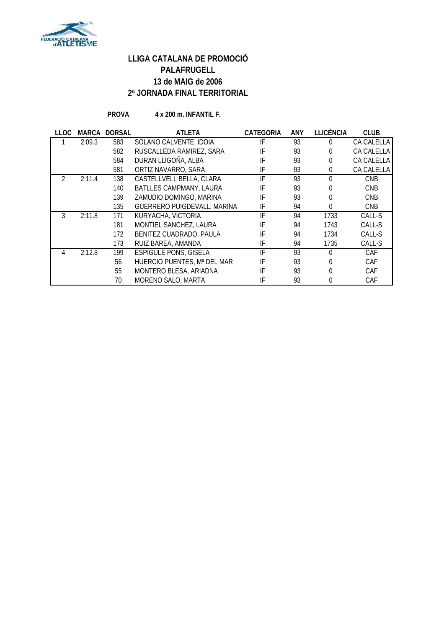

**PROVA 4 x 200 m. INFANTIL F.**

| LLOC | <b>MARCA</b> | <b>DORSAL</b> | <b>ATLETA</b>                | <b>CATEGORIA</b> | ANY | <b>LLICÈNCIA</b> | <b>CLUB</b> |
|------|--------------|---------------|------------------------------|------------------|-----|------------------|-------------|
|      | 2:09.3       | 583           | SOLANO CALVENTE, IDOIA       | IF               | 93  | 0                | CA CALELLA  |
|      |              | 582           | RUSCALLEDA RAMIREZ, SARA     | IF               | 93  | 0                | CA CALELLA  |
|      |              | 584           | DURAN LLIGOÑA, ALBA          | IF               | 93  | 0                | CA CALELLA  |
|      |              | 581           | ORTIZ NAVARRO, SARA          | IF               | 93  | 0                | CA CALELLA  |
|      | 2:11.4       | 138           | CASTELLVELL BELLA, CLARA     | IF               | 93  | 0                | <b>CNB</b>  |
|      |              | 140           | BATLLES CAMPMANY, LAURA      | IF               | 93  | 0                | <b>CNB</b>  |
|      |              | 139           | ZAMUDIO DOMINGO, MARINA      | IF               | 93  | 0                | <b>CNB</b>  |
|      |              | 135           | GUERRERO PUIGDEVALL, MARINA  | IF               | 94  | 0                | <b>CNB</b>  |
| 3    | 2:11.8       | 171           | KURYACHA, VICTORIA           | IF               | 94  | 1733             | CALL-S      |
|      |              | 181           | MONTIEL SANCHEZ, LAURA       | IF               | 94  | 1743             | CALL-S      |
|      |              | 172           | BENITEZ CUADRADO, PAULA      | IF               | 94  | 1734             | CALL-S      |
|      |              | 173           | RUIZ BAREA, AMANDA           | IF               | 94  | 1735             | CALL-S      |
|      | 2:12.8       | 199           | <b>ESPIGULE PONS, GISELA</b> | IF               | 93  | 0                | CAF         |
|      |              | 56            | HUERCIO PUENTES, Mª DEL MAR  | IF               | 93  | 0                | CAF         |
|      |              | 55            | MONTERO BLESA, ARIADNA       | IF               | 93  | 0                | CAF         |
|      |              | 70            | MORENO SALO, MARTA           | IF               | 93  | 0                | CAF         |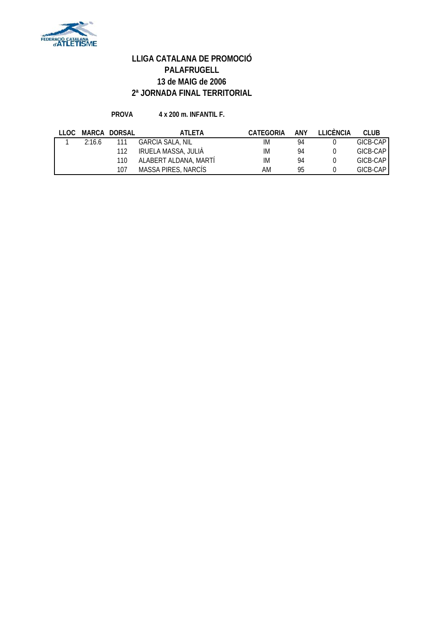

#### **PROVA 4 x 200 m. INFANTIL F.**

| LLOC |        | MARCA DORSAL | ATI FTA                 | <b>CATEGORIA</b> | ANY | <b>TEICÈNCIA</b> | CLUB.    |
|------|--------|--------------|-------------------------|------------------|-----|------------------|----------|
|      | 2:16.6 |              | <b>GARCIA SALA, NIL</b> | IM               | 94  |                  | GICB-CAP |
|      |        |              | IRUELA MASSA, JULIÀ     | IM               | 94  |                  | GICB-CAP |
|      |        | 110          | ALABERT ALDANA, MARTÍ   | IM               | 94  |                  | GICB-CAP |
|      |        | 107          | MASSA PIRES, NARCÍS     | AM               | 95  |                  | GICB-CAP |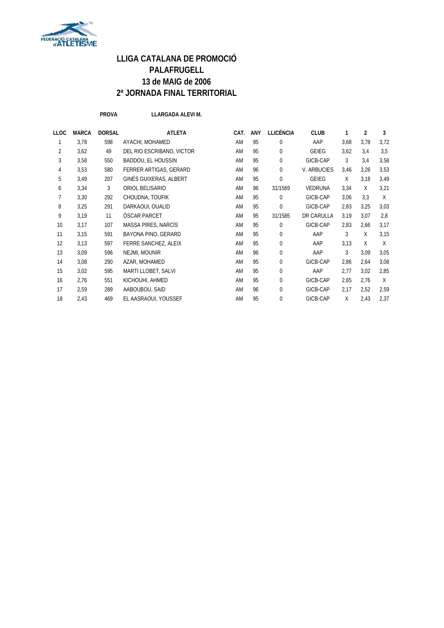

**PROVA LLARGADA ALEVI M.**

| LLOC           | <b>MARCA</b> | <b>DORSAL</b> | <b>ATLETA</b>             | CAT. | ANY | <b>LLICÈNCIA</b> | <b>CLUB</b>    |      | 2    | 3    |
|----------------|--------------|---------------|---------------------------|------|-----|------------------|----------------|------|------|------|
|                | 3,78         | 598           | AYACHI, MOHAMED           | AM   | 95  | $\mathbf{0}$     | AAP            | 3,68 | 3,78 | 3,72 |
| $\overline{2}$ | 3,62         | 49            | DEL RIO ESCRIBANO, VICTOR | AM   | 95  | $\mathbf 0$      | <b>GEIEG</b>   | 3,62 | 3,4  | 3,5  |
| 3              | 3,58         | 550           | BADDOU, EL HOUSSIN        | AM   | 95  | $\mathbf 0$      | GICB-CAP       | 3    | 3,4  | 3,58 |
| 4              | 3,53         | 580           | FERRER ARTIGAS, GERARD    | AM   | 96  | $\mathbf 0$      | V. ARBUCIES    | 3,46 | 3,26 | 3,53 |
| 5              | 3,49         | 207           | GINÉS GUIXERAS, ALBERT    | AM   | 95  | $\mathbf 0$      | <b>GEIEG</b>   | X    | 3,18 | 3,49 |
| 6              | 3,34         | 3             | ORIOL BELISARIO           | AM   | 96  | 31/1569          | <b>VEDRUNA</b> | 3,34 | X    | 3,21 |
| 7              | 3,30         | 292           | CHOUDNA, TOUFIK           | AM   | 95  | $\mathbf 0$      | GICB-CAP       | 3,06 | 3,3  | X    |
| 8              | 3,25         | 291           | DARKAOUI, OUALID          | AM   | 95  | 0                | GICB-CAP       | 2,83 | 3,25 | 3,03 |
| 9              | 3,19         | 11            | <b>OSCAR PARCET</b>       | AM   | 95  | 31/1585          | DR CARULLA     | 3,19 | 3,07 | 2,8  |
| 10             | 3,17         | 107           | MASSA PIRES, NARCÍS       | AM   | 95  | $\mathbf 0$      | GICB-CAP       | 2,83 | 2,66 | 3,17 |
| 11             | 3,15         | 591           | BAYONA PINO, GERARD       | AM   | 95  | 0                | AAP            | 3    | X    | 3,15 |
| 12             | 3,13         | 597           | FERRE SANCHEZ, ALEIX      | AM   | 95  | $\mathbf 0$      | AAP            | 3,13 | X    | X    |
| 13             | 3,09         | 596           | NEJMI, MOUNIR             | AM   | 96  | $\mathbf 0$      | AAP            | 3    | 3,09 | 3,05 |
| 14             | 3,08         | 290           | AZAR, MOHAMED             | AM   | 95  | 0                | GICB-CAP       | 2,86 | 2,64 | 3,08 |
| 15             | 3,02         | 595           | MARTI LLOBET, SALVI       | AM   | 95  | $\mathbf 0$      | AAP            | 2,77 | 3,02 | 2,85 |
| 16             | 2,76         | 551           | KICHOUHI, AHMED           | AM   | 95  | 0                | GICB-CAP       | 2,65 | 2,76 | X    |
| 17             | 2,59         | 289           | AABOUBOU, SAID            | AM   | 96  | 0                | GICB-CAP       | 2,17 | 2,52 | 2,59 |
| 18             | 2,43         | 469           | EL AASRAOUI, YOUSSEF      | AM   | 95  | 0                | GICB-CAP       | X    | 2,43 | 2,37 |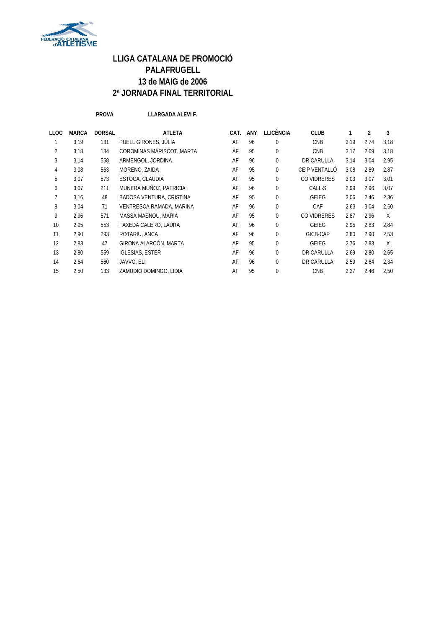

**PROVA LLARGADA ALEVI F.**

| LLARGAD |  |
|---------|--|
|---------|--|

| <b>LLOC</b>    | <b>MARCA</b> | <b>DORSAL</b> | <b>ATLETA</b>             | CAT. | <b>ANY</b> | <b>LLICÈNCIA</b> | <b>CLUB</b>   | 1    | $\overline{2}$ | 3      |
|----------------|--------------|---------------|---------------------------|------|------------|------------------|---------------|------|----------------|--------|
|                | 3,19         | 131           | PUELL GIRONES, JÚLIA      | AF   | 96         | $\Omega$         | <b>CNB</b>    | 3,19 | 2.74           | 3,18   |
| $\overline{2}$ | 3,18         | 134           | COROMINAS MARISCOT, MARTA | AF   | 95         | 0                | <b>CNB</b>    | 3.17 | 2.69           | 3,18   |
| 3              | 3,14         | 558           | ARMENGOL, JORDINA         | AF   | 96         | 0                | DR CARULLA    | 3,14 | 3,04           | 2,95   |
| 4              | 3,08         | 563           | MORENO, ZAIDA             | AF   | 95         | 0                | CEIP VENTALLÓ | 3,08 | 2,89           | 2,87   |
| 5              | 3,07         | 573           | ESTOCA, CLAUDIA           | AF   | 95         | 0                | CO VIDRERES   | 3,03 | 3,07           | 3,01   |
| 6              | 3,07         | 211           | MUNERA MUÑOZ, PATRICIA    | AF   | 96         | $\Omega$         | CALL-S        | 2,99 | 2,96           | 3,07   |
|                | 3,16         | 48            | BADOSA VENTURA, CRISTINA  | AF   | 95         | $\Omega$         | <b>GEIEG</b>  | 3,06 | 2,46           | 2,36   |
| 8              | 3,04         | 71            | VENTRESCA RAMADA, MARINA  | AF   | 96         | 0                | CAF           | 2,63 | 3.04           | 2,60   |
| 9              | 2,96         | 571           | MASSA MASNOU, MARIA       | AF   | 95         | $\Omega$         | CO VIDRERES   | 2,87 | 2,96           | $\chi$ |
| 10             | 2,95         | 553           | FAXEDA CALERO, LAURA      | AF   | 96         | $\Omega$         | <b>GEIEG</b>  | 2,95 | 2,83           | 2,84   |
| 11             | 2,90         | 293           | ROTARIU, ANCA             | AF   | 96         | 0                | GICB-CAP      | 2,80 | 2,90           | 2,53   |
| 12             | 2,83         | 47            | GIRONA ALARCÓN, MARTA     | AF   | 95         | $\Omega$         | GEIEG         | 2,76 | 2,83           | X      |
| 13             | 2,80         | 559           | <b>IGLESIAS, ESTER</b>    | AF   | 96         | $\Omega$         | DR CARULLA    | 2,69 | 2,80           | 2,65   |
| 14             | 2,64         | 560           | JAVVO, ELI                | AF   | 96         | $\Omega$         | DR CARULLA    | 2,59 | 2,64           | 2,34   |
| 15             | 2,50         | 133           | ZAMUDIO DOMINGO, LIDIA    | AF   | 95         | 0                | <b>CNB</b>    | 2,27 | 2,46           | 2,50   |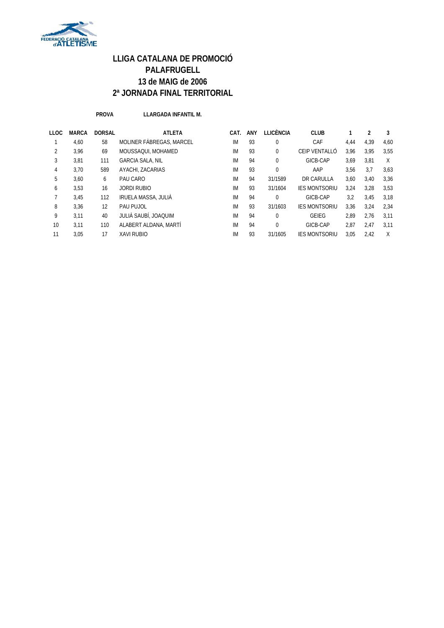

**PROVA LLARGADA INFANTIL M.**

| <b>LLOC</b> | <b>MARCA</b> | <b>DORSAL</b> | <b>ATLETA</b>            | CAT.      | ANY | <b>LLICÈNCIA</b> | <b>CLUB</b>          |      |      | 3    |
|-------------|--------------|---------------|--------------------------|-----------|-----|------------------|----------------------|------|------|------|
|             | 4,60         | 58            | MOLINER FABREGAS, MARCEL | <b>IM</b> | 93  | $\mathbf 0$      | CAF                  | 4,44 | 4,39 | 4.60 |
| 2           | 3,96         | 69            | MOUSSAQUI, MOHAMED       | IM        | 93  | 0                | CEIP VENTALLÓ        | 3,96 | 3,95 | 3,55 |
| 3           | 3,81         | 111           | <b>GARCIA SALA, NIL</b>  | <b>IM</b> | 94  | $\Omega$         | GICB-CAP             | 3,69 | 3,81 | X    |
| 4           | 3,70         | 589           | AYACHI, ZACARIAS         | IM        | 93  | $\Omega$         | AAP                  | 3,56 | 3.7  | 3,63 |
| 5           | 3.60         | 6             | PAU CARO                 | IM        | 94  | 31/1589          | DR CARULLA           | 3,60 | 3,40 | 3,36 |
| 6           | 3,53         | 16            | JORDI RUBIO              | IM        | 93  | 31/1604          | <b>IES MONTSORIU</b> | 3.24 | 3,28 | 3,53 |
|             | 3.45         | 112           | IRUELA MASSA, JULIÀ      | IM        | 94  | $\Omega$         | GICB-CAP             | 3,2  | 3,45 | 3,18 |
| 8           | 3,36         | 12            | PAU PUJOL                | IM        | 93  | 31/1603          | <b>IES MONTSORIU</b> | 3,36 | 3,24 | 2,34 |
| 9           | 3,11         | 40            | JULIÀ SAUBÍ, JOAQUIM     | <b>IM</b> | 94  | $\Omega$         | <b>GEIEG</b>         | 2,89 | 2,76 | 3.11 |
| 10          | 3,11         | 110           | ALABERT ALDANA, MARTÍ    | IM        | 94  | $\Omega$         | GICB-CAP             | 2,87 | 2,47 | 3,11 |
| 11          | 3,05         | 17            | <b>XAVI RUBIO</b>        | IM        | 93  | 31/1605          | <b>IES MONTSORIU</b> | 3.05 | 2,42 | X    |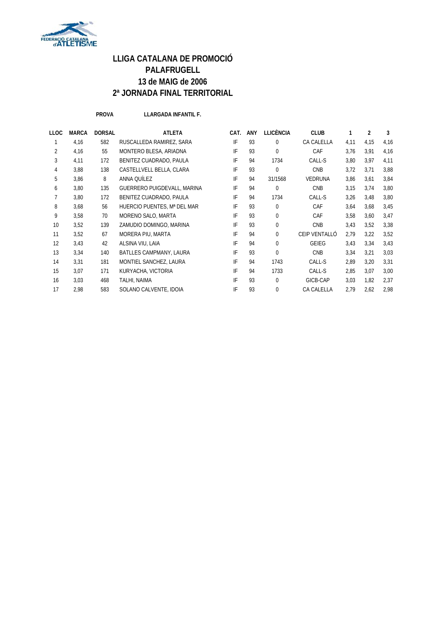

**PROVA LLARGADA INFANTIL F.**

| LLOC           | <b>MARCA</b> | <b>DORSAL</b> | <b>ATLETA</b>               | CAT. | ANY | <b>LLICÈNCIA</b> | <b>CLUB</b>    | 1    | $\overline{2}$ | 3    |
|----------------|--------------|---------------|-----------------------------|------|-----|------------------|----------------|------|----------------|------|
| 1              | 4,16         | 582           | RUSCALLEDA RAMIREZ, SARA    | IF   | 93  | $\mathbf 0$      | CA CALELLA     | 4,11 | 4,15           | 4,16 |
| $\overline{2}$ | 4,16         | 55            | MONTERO BLESA, ARIADNA      | IF   | 93  | $\Omega$         | CAF            | 3,76 | 3.91           | 4,16 |
| 3              | 4,11         | 172           | BENITEZ CUADRADO, PAULA     | IF   | 94  | 1734             | CALL-S         | 3,80 | 3.97           | 4,11 |
| 4              | 3,88         | 138           | CASTELLVELL BELLA, CLARA    | IF   | 93  | $\mathbf{0}$     | <b>CNB</b>     | 3,72 | 3,71           | 3,88 |
| 5              | 3,86         | 8             | ANNA QUÍLEZ                 | IF   | 94  | 31/1568          | <b>VEDRUNA</b> | 3,86 | 3,61           | 3,84 |
| 6              | 3,80         | 135           | GUERRERO PUIGDEVALL, MARINA | IF   | 94  | $\mathbf{0}$     | <b>CNB</b>     | 3,15 | 3.74           | 3,80 |
| 7              | 3,80         | 172           | BENITEZ CUADRADO, PAULA     | IF   | 94  | 1734             | CALL-S         | 3,26 | 3,48           | 3,80 |
| 8              | 3,68         | 56            | HUERCIO PUENTES, Mª DEL MAR | IF   | 93  | $\mathbf 0$      | CAF            | 3,64 | 3,68           | 3,45 |
| 9              | 3,58         | 70            | MORENO SALO, MARTA          | IF   | 93  | $\mathbf{0}$     | CAF            | 3,58 | 3,60           | 3,47 |
| 10             | 3,52         | 139           | ZAMUDIO DOMINGO, MARINA     | IF   | 93  | $\mathbf{0}$     | <b>CNB</b>     | 3,43 | 3,52           | 3,38 |
| 11             | 3,52         | 67            | MORERA PIU, MARTA           | IF   | 94  | $\Omega$         | CEIP VENTALLÓ  | 2,79 | 3,22           | 3,52 |
| 12             | 3.43         | 42            | ALSINA VIU, LAIA            | IF   | 94  | $\Omega$         | <b>GEIEG</b>   | 3.43 | 3.34           | 3,43 |
| 13             | 3,34         | 140           | BATLLES CAMPMANY, LAURA     | IF   | 93  | $\theta$         | <b>CNB</b>     | 3,34 | 3,21           | 3,03 |
| 14             | 3,31         | 181           | MONTIEL SANCHEZ, LAURA      | IF   | 94  | 1743             | CALL-S         | 2,89 | 3,20           | 3,31 |
| 15             | 3,07         | 171           | KURYACHA, VICTORIA          | IF   | 94  | 1733             | CALL-S         | 2,85 | 3.07           | 3,00 |
| 16             | 3,03         | 468           | TALHI, NAIMA                | IF   | 93  | $\mathbf{0}$     | GICB-CAP       | 3,03 | 1,82           | 2,37 |
| 17             | 2,98         | 583           | SOLANO CALVENTE, IDOIA      | IF   | 93  | $\Omega$         | CA CALELLA     | 2,79 | 2,62           | 2,98 |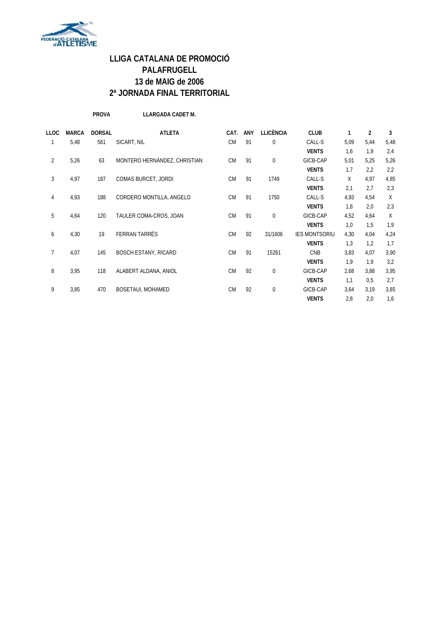

**PROVA LLARGADA CADET M.**

| <b>LLOC</b>    | <b>MARCA</b> | <b>DORSAL</b> | <b>ATLETA</b>                | CAT.      | <b>ANY</b> | <b>LLICÈNCIA</b> | <b>CLUB</b>          | 1    | 2    | 3    |
|----------------|--------------|---------------|------------------------------|-----------|------------|------------------|----------------------|------|------|------|
| 1              | 5,48         | 561           | SICART, NIL                  | <b>CM</b> | 91         | $\mathbf 0$      | CALL-S               | 5,09 | 5,44 | 5,48 |
|                |              |               |                              |           |            |                  | <b>VENTS</b>         | 1,6  | 1,9  | 2,4  |
| 2              | 5,26         | 63            | MONTERO HERNÁNDEZ, CHRISTIAN | <b>CM</b> | 91         | $\mathbf 0$      | GICB-CAP             | 5,01 | 5,25 | 5,26 |
|                |              |               |                              |           |            |                  | <b>VENTS</b>         | 1,7  | 2,2  | 2,2  |
| 3              | 4,97         | 187           | COMAS BURCET, JORDI          | <b>CM</b> | 91         | 1749             | CALL-S               | X    | 4,97 | 4,85 |
|                |              |               |                              |           |            |                  | <b>VENTS</b>         | 2,1  | 2.7  | 2,3  |
| 4              | 4,93         | 188           | CORDERO MONTILLA, ANGELO     | <b>CM</b> | 91         | 1750             | CALL-S               | 4,93 | 4,54 | X    |
|                |              |               |                              |           |            |                  | <b>VENTS</b>         | 1,8  | 2,0  | 2,3  |
| 5              | 4,64         | 120           | TAULER COMA-CROS, JOAN       | <b>CM</b> | 91         | $\mathbf 0$      | GICB-CAP             | 4,52 | 4,64 | X    |
|                |              |               |                              |           |            |                  | <b>VENTS</b>         | 1,0  | 1,5  | 1,9  |
| 6              | 4,30         | 19            | FERRAN TARRÉS                | <b>CM</b> | 92         | 31/1606          | <b>IES MONTSORIU</b> | 4,30 | 4,04 | 4,24 |
|                |              |               |                              |           |            |                  | <b>VENTS</b>         | 1,3  | 1,2  | 1,7  |
| $\overline{7}$ | 4,07         | 145           | <b>BOSCH ESTANY, RICARD</b>  | <b>CM</b> | 91         | 15261            | <b>CNB</b>           | 3,83 | 4,07 | 3,90 |
|                |              |               |                              |           |            |                  | <b>VENTS</b>         | 1,9  | 1,9  | 3,2  |
| 8              | 3,95         | 118           | ALABERT ALDANA, ANIOL        | <b>CM</b> | 92         | $\mathbf 0$      | GICB-CAP             | 2,68 | 3,88 | 3,95 |
|                |              |               |                              |           |            |                  | <b>VENTS</b>         | 1,1  | 0,5  | 2,7  |
| 9              | 3,85         | 470           | BOSETAUI, MOHAMED            | <b>CM</b> | 92         | $\mathbf{0}$     | GICB-CAP             | 3,64 | 3,19 | 3,85 |
|                |              |               |                              |           |            |                  | <b>VENTS</b>         | 2,8  | 2,0  | 1,6  |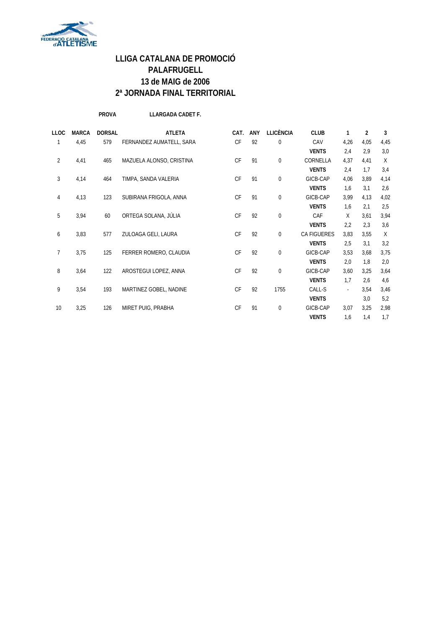

**PROVA LLARGADA CADET F.**

| <b>LLOC</b>    | <b>MARCA</b> | <b>DORSAL</b> | <b>ATLETA</b>            | CAT.      | <b>ANY</b> | <b>LLICÈNCIA</b> | <b>CLUB</b>  | 1    | 2    | 3    |
|----------------|--------------|---------------|--------------------------|-----------|------------|------------------|--------------|------|------|------|
| 1              | 4,45         | 579           | FERNANDEZ AUMATELL, SARA | <b>CF</b> | 92         | $\bf{0}$         | CAV          | 4,26 | 4,05 | 4,45 |
|                |              |               |                          |           |            |                  | <b>VENTS</b> | 2,4  | 2,9  | 3,0  |
| 2              | 4,41         | 465           | MAZUELA ALONSO, CRISTINA | <b>CF</b> | 91         | $\bf{0}$         | CORNELLA     | 4,37 | 4,41 | Χ    |
|                |              |               |                          |           |            |                  | <b>VENTS</b> | 2,4  | 1,7  | 3,4  |
| 3              | 4,14         | 464           | TIMPA, SANDA VALERIA     | CF        | 91         | $\mathbf 0$      | GICB-CAP     | 4,06 | 3,89 | 4,14 |
|                |              |               |                          |           |            |                  | <b>VENTS</b> | 1,6  | 3,1  | 2,6  |
| 4              | 4,13         | 123           | SUBIRANA FRIGOLA, ANNA   | CF        | 91         | $\bf{0}$         | GICB-CAP     | 3,99 | 4,13 | 4,02 |
|                |              |               |                          |           |            |                  | <b>VENTS</b> | 1,6  | 2,1  | 2,5  |
| 5              | 3,94         | 60            | ORTEGA SOLANA, JÚLIA     | CF        | 92         | $\mathbf 0$      | CAF          | X    | 3,61 | 3,94 |
|                |              |               |                          |           |            |                  | <b>VENTS</b> | 2,2  | 2.3  | 3,6  |
| 6              | 3,83         | 577           | ZULOAGA GELI, LAURA      | <b>CF</b> | 92         | 0                | CA FIGUERES  | 3,83 | 3,55 | Χ    |
|                |              |               |                          |           |            |                  | <b>VENTS</b> | 2,5  | 3,1  | 3,2  |
| $\overline{7}$ | 3,75         | 125           | FERRER ROMERO, CLAUDIA   | <b>CF</b> | 92         | $\bf{0}$         | GICB-CAP     | 3,53 | 3,68 | 3,75 |
|                |              |               |                          |           |            |                  | <b>VENTS</b> | 2,0  | 1,8  | 2,0  |
| 8              | 3,64         | 122           | AROSTEGUI LOPEZ, ANNA    | <b>CF</b> | 92         | 0                | GICB-CAP     | 3,60 | 3,25 | 3,64 |
|                |              |               |                          |           |            |                  | <b>VENTS</b> | 1,7  | 2,6  | 4,6  |
| 9              | 3,54         | 193           | MARTINEZ GOBEL, NADINE   | CF        | 92         | 1755             | CALL-S       |      | 3,54 | 3,46 |
|                |              |               |                          |           |            |                  | <b>VENTS</b> |      | 3,0  | 5,2  |
| 10             | 3,25         | 126           | MIRET PUIG, PRABHA       | CF        | 91         | $\bf{0}$         | GICB-CAP     | 3,07 | 3,25 | 2,98 |
|                |              |               |                          |           |            |                  | <b>VENTS</b> | 1,6  | 1,4  | 1,7  |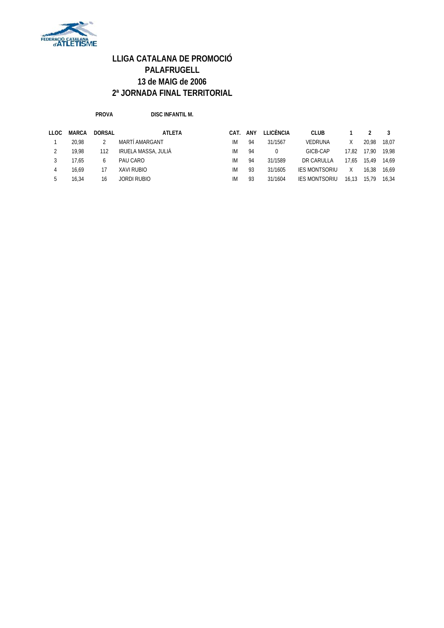

**PROVA DISC INFANTIL M.**

| LLOC | <b>MARCA</b> | <b>DORSAL</b> | <b>ATLETA</b>       | CAT. | ANY | LLICÈNCIA | <b>CLUB</b>          |       |       |       |
|------|--------------|---------------|---------------------|------|-----|-----------|----------------------|-------|-------|-------|
|      | 20.98        |               | MARTÍ AMARGANT      | IМ   | 94  | 31/1567   | <b>VEDRUNA</b>       |       | 20.98 | 18.07 |
|      | 19.98        | 112           | IRUELA MASSA, JULIÀ | IМ   | 94  |           | GICB-CAP             | 17.82 | 17.90 | 19.98 |
|      | 17.65        | 6             | PAU CARO            | IМ   | 94  | 31/1589   | DR CARULLA           | 17.65 | 15.49 | 14.69 |
|      | 16.69        | 17            | XAVI RUBIO          | IМ   | 93  | 31/1605   | <b>IES MONTSORIU</b> | X.    | 16.38 | 16.69 |
|      | 16.34        | 16            | JORDI RUBIO         | ΙM   | 93  | 31/1604   | <b>IES MONTSORIU</b> | 16.13 | 15.79 | 16.34 |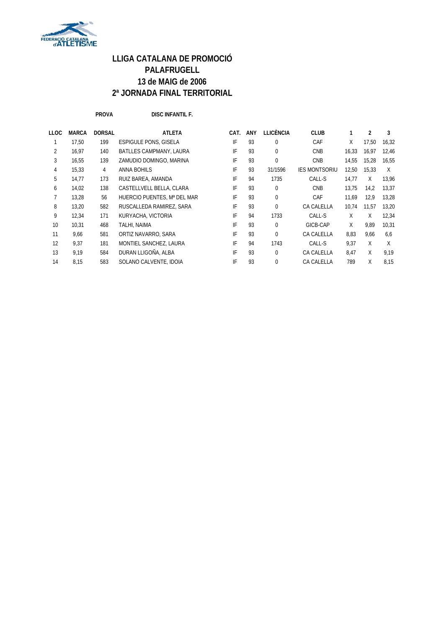

**PROVA DISC INFANTIL F.**

| LLOC | <b>MARCA</b> | <b>DORSAL</b> | <b>ATLETA</b>                  | CAT. | ANY | LLICÈNCIA | <b>CLUB</b>          |       | 2     | 3     |
|------|--------------|---------------|--------------------------------|------|-----|-----------|----------------------|-------|-------|-------|
|      | 17,50        | 199           | <b>ESPIGULE PONS, GISELA</b>   | IF   | 93  | 0         | CAF                  | X     | 17,50 | 16,32 |
| 2    | 16,97        | 140           | <b>BATLLES CAMPMANY, LAURA</b> | IF   | 93  | 0         | <b>CNB</b>           | 16,33 | 16.97 | 12,46 |
| 3    | 16.55        | 139           | ZAMUDIO DOMINGO, MARINA        | IF   | 93  | 0         | <b>CNB</b>           | 14.55 | 15.28 | 16.55 |
| 4    | 15,33        | 4             | <b>ANNA BOHILS</b>             | IF   | 93  | 31/1596   | <b>IES MONTSORIU</b> | 12,50 | 15.33 | X     |
| 5    | 14,77        | 173           | RUIZ BAREA, AMANDA             | IF   | 94  | 1735      | CALL-S               | 14,77 | X     | 13.96 |
| 6    | 14.02        | 138           | CASTELLVELL BELLA, CLARA       | IF   | 93  | 0         | <b>CNB</b>           | 13,75 | 14,2  | 13,37 |
|      | 13,28        | 56            | HUERCIO PUENTES, Mª DEL MAR    | IF   | 93  | 0         | CAF                  | 11,69 | 12,9  | 13,28 |
| 8    | 13,20        | 582           | RUSCALLEDA RAMIREZ, SARA       | IF   | 93  | 0         | CA CALELLA           | 10.74 | 11.57 | 13,20 |
| 9    | 12,34        | 171           | KURYACHA, VICTORIA             | IF   | 94  | 1733      | CALL-S               | X     | Χ     | 12,34 |
| 10   | 10.31        | 468           | TALHI, NAIMA                   | IF   | 93  | 0         | GICB-CAP             | X     | 9.89  | 10,31 |
| 11   | 9,66         | 581           | ORTIZ NAVARRO, SARA            | IF   | 93  | 0         | CA CALELLA           | 8,83  | 9,66  | 6,6   |
| 12   | 9.37         | 181           | MONTIEL SANCHEZ, LAURA         | IF   | 94  | 1743      | CALL-S               | 9.37  | X     | X     |
| 13   | 9,19         | 584           | DURAN LLIGOÑA, ALBA            | IF   | 93  | 0         | CA CALELLA           | 8,47  | X     | 9,19  |
| 14   | 8,15         | 583           | SOLANO CALVENTE, IDOIA         | IF   | 93  | 0         | CA CALELLA           | 789   | X     | 8.15  |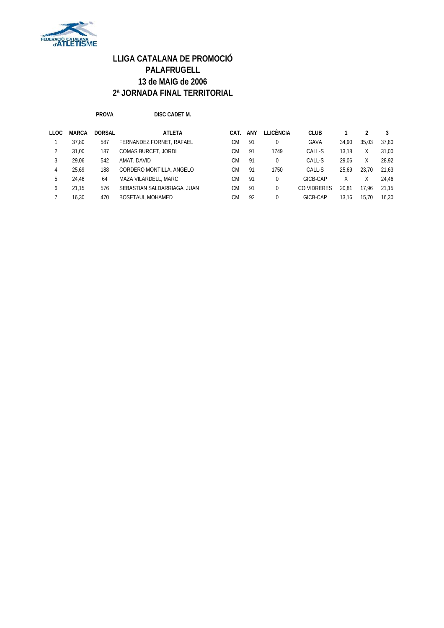

**PROVA DISC CADET M.**

| <b>LLOC</b> | <b>MARCA</b> | <b>DORSAL</b> | ATLETA                      | CAT.      | ANY | LLICÈNCIA | <b>CLUB</b> |       |       |       |
|-------------|--------------|---------------|-----------------------------|-----------|-----|-----------|-------------|-------|-------|-------|
|             | 37.80        | 587           | FERNANDEZ FORNET, RAFAEL    | CМ        | 91  |           | GAVA        | 34.90 | 35.03 | 37.80 |
|             | 31.00        | 187           | COMAS BURCET, JORDI         | <b>CM</b> | 91  | 1749      | CALL-S      | 13.18 | Χ     | 31.00 |
|             | 29.06        | 542           | AMAT, DAVID                 | СM        | 91  |           | CALL-S      | 29.06 | Χ     | 28.92 |
| 4           | 25.69        | 188           | CORDERO MONTILLA, ANGELO    | <b>CM</b> | 91  | 1750      | CALL-S      | 25.69 | 23.70 | 21.63 |
| 5           | 24.46        | 64            | MAZA VILARDELL, MARC        | <b>CM</b> | 91  |           | GICB-CAP    | Χ     | Χ     | 24.46 |
| 6           | 21.15        | 576           | SEBASTIAN SALDARRIAGA, JUAN | <b>CM</b> | 91  |           | CO VIDRERES | 20.81 | 17.96 | 21.15 |
|             | 16.30        | 470           | <b>BOSETAUI, MOHAMED</b>    | CМ        | 92  |           | GICB-CAP    | 13.16 | 15.70 | 16.30 |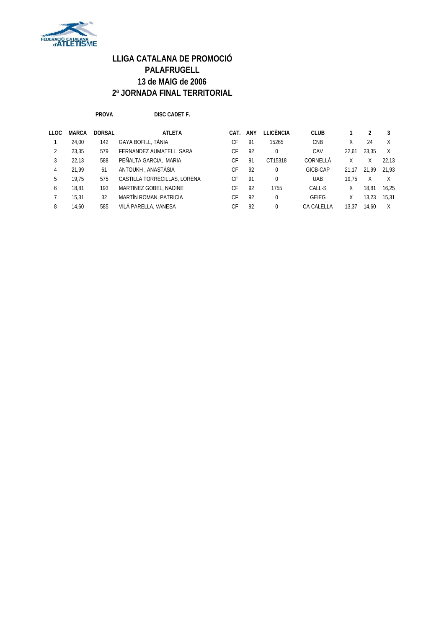

**PROVA DISC CADET F.**

| DISC CADE |
|-----------|
|           |

| <b>LLOC</b> | <b>MARCA</b> | <b>DORSAL</b> | <b>ATLETA</b>                 | CAT.      | ANY | LLICÈNCIA | <b>CLUB</b>       |       |       | 3     |
|-------------|--------------|---------------|-------------------------------|-----------|-----|-----------|-------------------|-------|-------|-------|
|             | 24,00        | 142           | GAYA BOFILL, TÀNIA            | СF        | 91  | 15265     | <b>CNB</b>        | Χ     | 24    | X     |
|             | 23.35        | 579           | FERNANDEZ AUMATELL, SARA      | CF        | 92  | $\Omega$  | CAV               | 22.61 | 23.35 | X     |
| 3           | 22.13        | 588           | PEÑALTA GARCIA, MARIA         | СF        | 91  | CT15318   | CORNELLÀ          |       |       | 22.13 |
| 4           | 21.99        | 61            | ANTOUKH, ANASTÀSIA            | <b>CF</b> | 92  | $\Omega$  | GICB-CAP          | 21.17 | 21.99 | 21.93 |
| 5.          | 19.75        | 575           | CASTILLA TORRECILLAS, LORENA  | СF        | 91  | $\Omega$  | <b>UAB</b>        | 19.75 | X     |       |
| 6           | 18.81        | 193           | MARTINEZ GOBEL, NADINE        | СF        | 92  | 1755      | CALL-S            | χ     | 18.81 | 16.25 |
|             | 15.31        | 32            | <b>MARTÍN ROMAN, PATRICIA</b> | СF        | 92  | $\Omega$  | <b>GEIEG</b>      | Χ     | 13.23 | 15,31 |
| 8           | 14.60        | 585           | VILÀ PARELLA, VANESA          | СF        | 92  | $\Omega$  | <b>CA CALELLA</b> | 13.37 | 14.60 |       |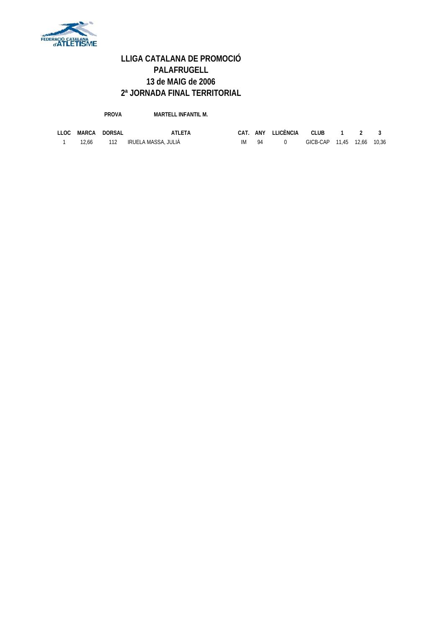

**PROVA MARTELL INFANTIL M.**

|  | LLOC MARCA DORSAL | <b>ATLETA</b>                 |       | CAT. ANY LLICÈNCIA CLUB 1 2 3 |                            |  |  |
|--|-------------------|-------------------------------|-------|-------------------------------|----------------------------|--|--|
|  |                   | 12.66 112 IRUELA MASSA, JULIÀ | IM 94 |                               | GICB-CAP 11.45 12.66 10.36 |  |  |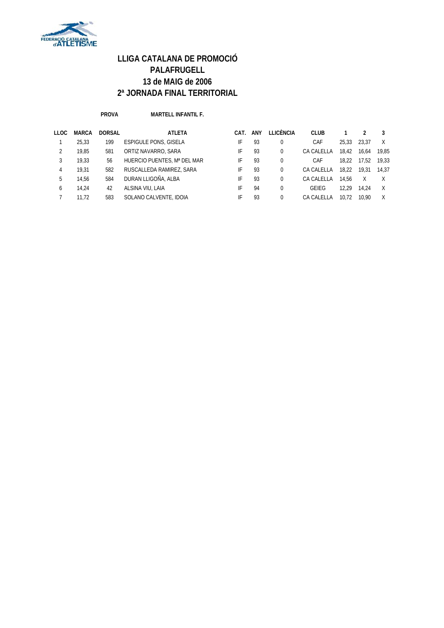

**PROVA MARTELL INFANTIL F.**

| <b>LLOC</b>  | <b>MARCA</b> | <b>DORSAL</b> | <b>ATLETA</b>                | CAT. | ANY | LLICÈNCIA | <b>CLUB</b> |       |       |       |
|--------------|--------------|---------------|------------------------------|------|-----|-----------|-------------|-------|-------|-------|
|              | 25.33        | 199           | <b>ESPIGULE PONS, GISELA</b> | IF   | 93  |           | CAF         | 25.33 | 23.37 | X     |
|              | 19.85        | 581           | ORTIZ NAVARRO, SARA          | IF   | 93  |           | CA CALELLA  | 18.42 | 16.64 | 19.85 |
|              | 19.33        | 56            | HUERCIO PUENTES, Mª DEL MAR  | IF   | 93  | $\Omega$  | CAF         | 18.22 | 17.52 | 19.33 |
| 4            | 19.31        | 582           | RUSCALLEDA RAMIREZ, SARA     | IF   | 93  |           | CA CALELLA  | 18.22 | 19.31 | 14.37 |
| 5            | 14.56        | 584           | DURAN LLIGOÑA, ALBA          | IF   | 93  | $\Omega$  | CA CALELLA  | 14.56 | X     |       |
| <sub>6</sub> | 14.24        | 42            | ALSINA VIU, LAIA             | IF   | 94  |           | GEIEG       | 12.29 | 14.24 | X     |
|              | 11.72        | 583           | SOLANO CALVENTE, IDOIA       | IF   | 93  |           | CA CALELLA  | 10.72 | 10.90 |       |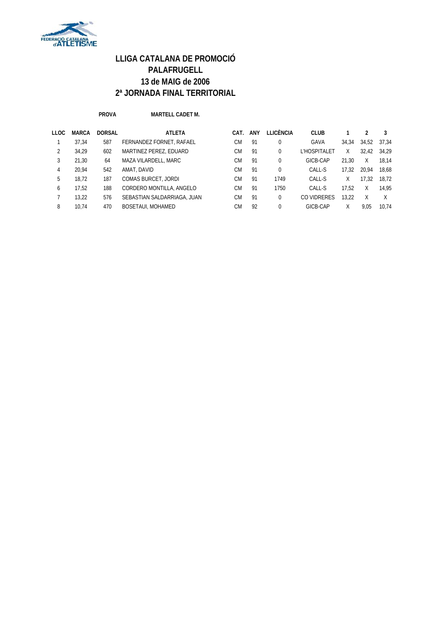

**PROVA MARTELL CADET M.**

| <b>LLOC</b> | <b>MARCA</b> | <b>DORSAL</b> | <b>ATLETA</b>               | CAT. | ANY | LLICÈNCIA | <b>CLUB</b>  |       |       | 3     |
|-------------|--------------|---------------|-----------------------------|------|-----|-----------|--------------|-------|-------|-------|
|             | 37,34        | 587           | FERNANDEZ FORNET, RAFAEL    | СM   | 91  | 0         | GAVA         | 34,34 | 34,52 | 37.34 |
|             | 34.29        | 602           | MARTINEZ PEREZ, EDUARD      | СM   | 91  | 0         | L'HOSPITALET | X     | 32.42 | 34.29 |
| 3           | 21.30        | 64            | MAZA VILARDELL, MARC        | CМ   | 91  | $\Omega$  | GICB-CAP     | 21.30 | X     | 18.14 |
| 4           | 20.94        | 542           | AMAT, DAVID                 | CМ   | 91  | $\Omega$  | CALL-S       | 17.32 | 20.94 | 18.68 |
| 5           | 18.72        | 187           | <b>COMAS BURCET, JORDI</b>  | СM   | 91  | 1749      | CALL-S       | X     | 17.32 | 18.72 |
| 6           | 17.52        | 188           | CORDERO MONTILLA, ANGELO    | СM   | 91  | 1750      | CALL-S       | 17.52 | X     | 14.95 |
|             | 13.22        | 576           | SEBASTIAN SALDARRIAGA, JUAN | СM   | 91  | $\Omega$  | CO VIDRERES  | 13.22 | Χ     | Χ     |
| 8           | 10.74        | 470           | BOSETAUI, MOHAMED           | СM   | 92  | $\Omega$  | GICB-CAP     | Χ     | 9.05  | 10.74 |